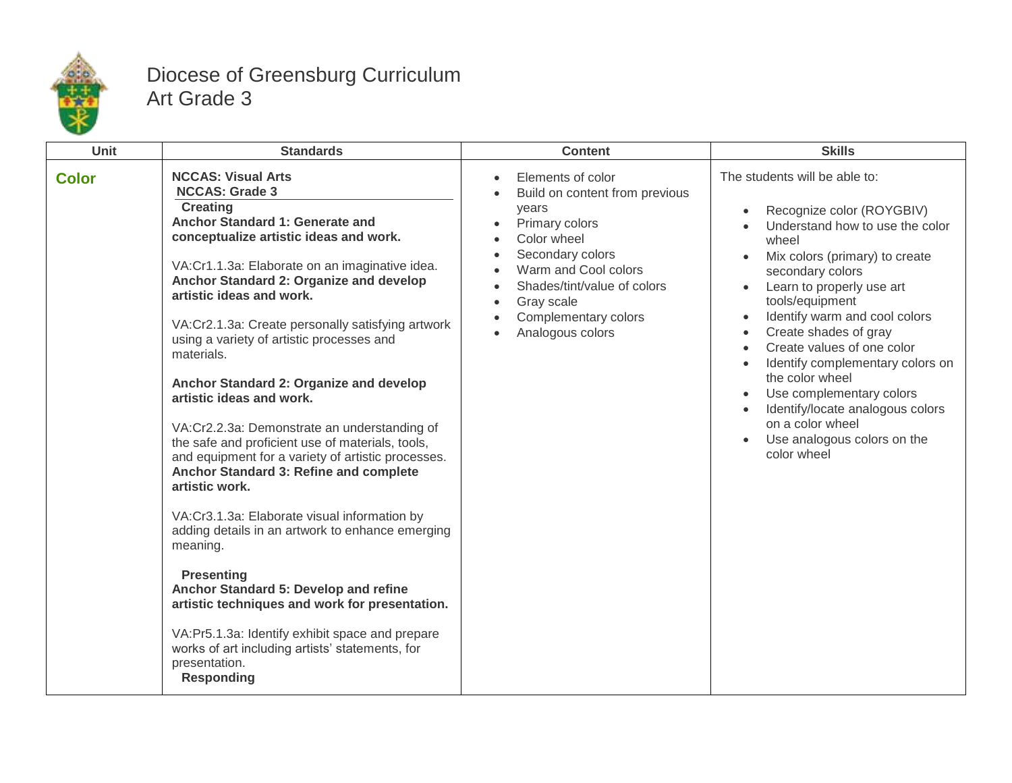

## Diocese of Greensburg Curriculum Art Grade 3

| Unit         | <b>Standards</b>                                                                                                                                                                                                                                                                                                                                                                                                                                                                                                                                                                                                                                                                                                                                                                                                                                                                                                                                                                                                                                                     | <b>Content</b>                                                                                                                                                                                                                     | <b>Skills</b>                                                                                                                                                                                                                                                                                                                                                                                                                                                                                                                                                               |
|--------------|----------------------------------------------------------------------------------------------------------------------------------------------------------------------------------------------------------------------------------------------------------------------------------------------------------------------------------------------------------------------------------------------------------------------------------------------------------------------------------------------------------------------------------------------------------------------------------------------------------------------------------------------------------------------------------------------------------------------------------------------------------------------------------------------------------------------------------------------------------------------------------------------------------------------------------------------------------------------------------------------------------------------------------------------------------------------|------------------------------------------------------------------------------------------------------------------------------------------------------------------------------------------------------------------------------------|-----------------------------------------------------------------------------------------------------------------------------------------------------------------------------------------------------------------------------------------------------------------------------------------------------------------------------------------------------------------------------------------------------------------------------------------------------------------------------------------------------------------------------------------------------------------------------|
| <b>Color</b> | <b>NCCAS: Visual Arts</b><br><b>NCCAS: Grade 3</b><br><b>Creating</b><br>Anchor Standard 1: Generate and<br>conceptualize artistic ideas and work.<br>VA:Cr1.1.3a: Elaborate on an imaginative idea.<br>Anchor Standard 2: Organize and develop<br>artistic ideas and work.<br>VA:Cr2.1.3a: Create personally satisfying artwork<br>using a variety of artistic processes and<br>materials.<br>Anchor Standard 2: Organize and develop<br>artistic ideas and work.<br>VA:Cr2.2.3a: Demonstrate an understanding of<br>the safe and proficient use of materials, tools,<br>and equipment for a variety of artistic processes.<br>Anchor Standard 3: Refine and complete<br>artistic work.<br>VA:Cr3.1.3a: Elaborate visual information by<br>adding details in an artwork to enhance emerging<br>meaning.<br><b>Presenting</b><br>Anchor Standard 5: Develop and refine<br>artistic techniques and work for presentation.<br>VA:Pr5.1.3a: Identify exhibit space and prepare<br>works of art including artists' statements, for<br>presentation.<br><b>Responding</b> | Elements of color<br>Build on content from previous<br>years<br>Primary colors<br>Color wheel<br>Secondary colors<br>Warm and Cool colors<br>Shades/tint/value of colors<br>Gray scale<br>Complementary colors<br>Analogous colors | The students will be able to:<br>Recognize color (ROYGBIV)<br>$\bullet$<br>Understand how to use the color<br>wheel<br>Mix colors (primary) to create<br>secondary colors<br>Learn to properly use art<br>tools/equipment<br>Identify warm and cool colors<br>$\bullet$<br>Create shades of gray<br>$\bullet$<br>Create values of one color<br>$\bullet$<br>Identify complementary colors on<br>$\bullet$<br>the color wheel<br>Use complementary colors<br>$\bullet$<br>Identify/locate analogous colors<br>on a color wheel<br>Use analogous colors on the<br>color wheel |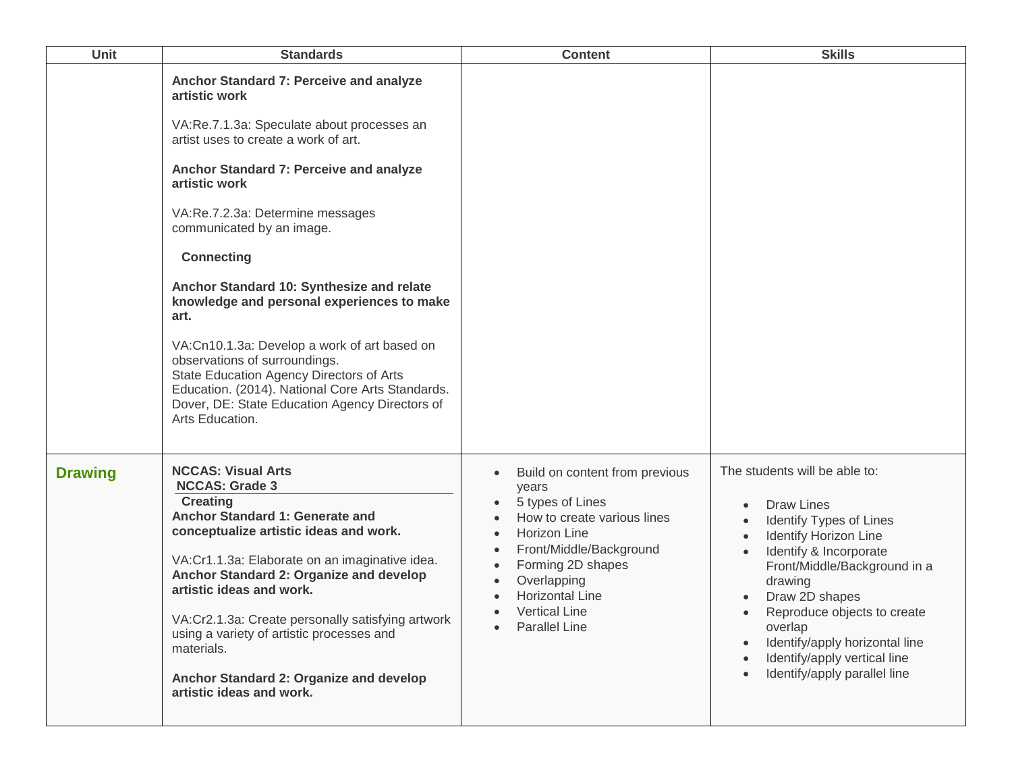| Unit           | <b>Standards</b>                                                                                                                                                                                                                                                                                                                                                                                                                                                                                                                                                                                                                                          | <b>Content</b>                                                                                                                                                                                                                                      | <b>Skills</b>                                                                                                                                                                                                                                                                                                                                    |
|----------------|-----------------------------------------------------------------------------------------------------------------------------------------------------------------------------------------------------------------------------------------------------------------------------------------------------------------------------------------------------------------------------------------------------------------------------------------------------------------------------------------------------------------------------------------------------------------------------------------------------------------------------------------------------------|-----------------------------------------------------------------------------------------------------------------------------------------------------------------------------------------------------------------------------------------------------|--------------------------------------------------------------------------------------------------------------------------------------------------------------------------------------------------------------------------------------------------------------------------------------------------------------------------------------------------|
|                | Anchor Standard 7: Perceive and analyze<br>artistic work<br>VA:Re.7.1.3a: Speculate about processes an<br>artist uses to create a work of art.<br>Anchor Standard 7: Perceive and analyze<br>artistic work<br>VA:Re.7.2.3a: Determine messages<br>communicated by an image.<br><b>Connecting</b><br>Anchor Standard 10: Synthesize and relate<br>knowledge and personal experiences to make<br>art.<br>VA:Cn10.1.3a: Develop a work of art based on<br>observations of surroundings.<br>State Education Agency Directors of Arts<br>Education. (2014). National Core Arts Standards.<br>Dover, DE: State Education Agency Directors of<br>Arts Education. |                                                                                                                                                                                                                                                     |                                                                                                                                                                                                                                                                                                                                                  |
| <b>Drawing</b> | <b>NCCAS: Visual Arts</b><br><b>NCCAS: Grade 3</b><br><b>Creating</b><br>Anchor Standard 1: Generate and<br>conceptualize artistic ideas and work.<br>VA:Cr1.1.3a: Elaborate on an imaginative idea.<br>Anchor Standard 2: Organize and develop<br>artistic ideas and work.<br>VA:Cr2.1.3a: Create personally satisfying artwork<br>using a variety of artistic processes and<br>materials.<br>Anchor Standard 2: Organize and develop<br>artistic ideas and work.                                                                                                                                                                                        | Build on content from previous<br>years<br>5 types of Lines<br>How to create various lines<br>Horizon Line<br>Front/Middle/Background<br>Forming 2D shapes<br>Overlapping<br><b>Horizontal Line</b><br><b>Vertical Line</b><br><b>Parallel Line</b> | The students will be able to:<br><b>Draw Lines</b><br>Identify Types of Lines<br><b>Identify Horizon Line</b><br>Identify & Incorporate<br>Front/Middle/Background in a<br>drawing<br>Draw 2D shapes<br>Reproduce objects to create<br>overlap<br>Identify/apply horizontal line<br>Identify/apply vertical line<br>Identify/apply parallel line |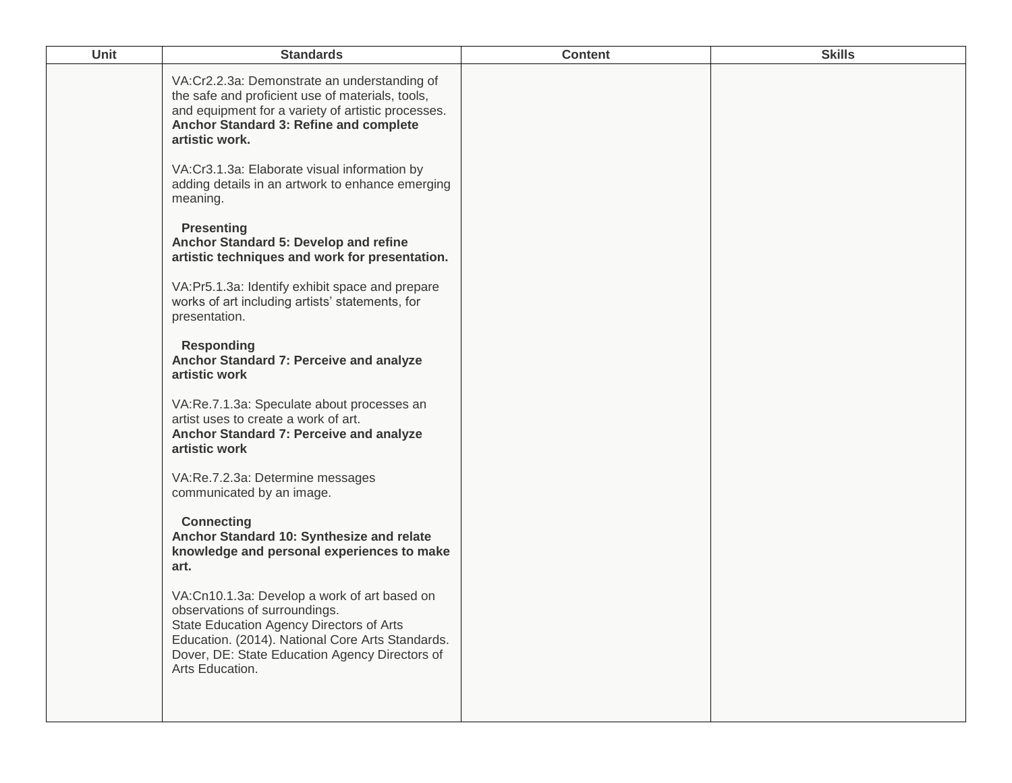| Unit | <b>Standards</b>                                                                                                                                                                                                                                   | <b>Content</b> | <b>Skills</b> |
|------|----------------------------------------------------------------------------------------------------------------------------------------------------------------------------------------------------------------------------------------------------|----------------|---------------|
|      | VA:Cr2.2.3a: Demonstrate an understanding of<br>the safe and proficient use of materials, tools,<br>and equipment for a variety of artistic processes.<br>Anchor Standard 3: Refine and complete<br>artistic work.                                 |                |               |
|      | VA:Cr3.1.3a: Elaborate visual information by<br>adding details in an artwork to enhance emerging<br>meaning.                                                                                                                                       |                |               |
|      | <b>Presenting</b><br>Anchor Standard 5: Develop and refine<br>artistic techniques and work for presentation.                                                                                                                                       |                |               |
|      | VA:Pr5.1.3a: Identify exhibit space and prepare<br>works of art including artists' statements, for<br>presentation.                                                                                                                                |                |               |
|      | <b>Responding</b><br>Anchor Standard 7: Perceive and analyze<br>artistic work                                                                                                                                                                      |                |               |
|      | VA:Re.7.1.3a: Speculate about processes an<br>artist uses to create a work of art.<br>Anchor Standard 7: Perceive and analyze<br>artistic work                                                                                                     |                |               |
|      | VA:Re.7.2.3a: Determine messages<br>communicated by an image.                                                                                                                                                                                      |                |               |
|      | <b>Connecting</b><br>Anchor Standard 10: Synthesize and relate<br>knowledge and personal experiences to make<br>art.                                                                                                                               |                |               |
|      | VA:Cn10.1.3a: Develop a work of art based on<br>observations of surroundings.<br>State Education Agency Directors of Arts<br>Education. (2014). National Core Arts Standards.<br>Dover, DE: State Education Agency Directors of<br>Arts Education. |                |               |
|      |                                                                                                                                                                                                                                                    |                |               |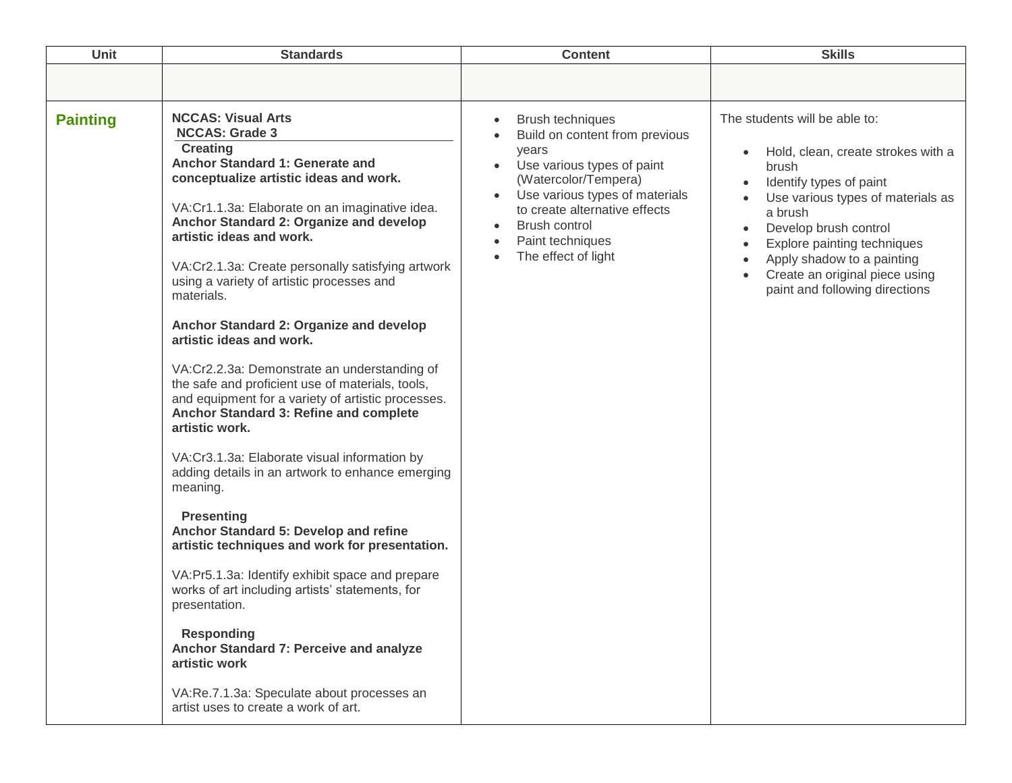| Unit            | <b>Standards</b>                                                                                                                                                                                                                                                                                                                                                                                                                                                                                                                                                                                                                                                                                                                                                                                                                                                                                                                                                                                                                                                                                                                                                                                                       | <b>Content</b>                                                                                                                                                                                                                                                                                                           | <b>Skills</b>                                                                                                                                                                                                                                                                                                                                                                      |
|-----------------|------------------------------------------------------------------------------------------------------------------------------------------------------------------------------------------------------------------------------------------------------------------------------------------------------------------------------------------------------------------------------------------------------------------------------------------------------------------------------------------------------------------------------------------------------------------------------------------------------------------------------------------------------------------------------------------------------------------------------------------------------------------------------------------------------------------------------------------------------------------------------------------------------------------------------------------------------------------------------------------------------------------------------------------------------------------------------------------------------------------------------------------------------------------------------------------------------------------------|--------------------------------------------------------------------------------------------------------------------------------------------------------------------------------------------------------------------------------------------------------------------------------------------------------------------------|------------------------------------------------------------------------------------------------------------------------------------------------------------------------------------------------------------------------------------------------------------------------------------------------------------------------------------------------------------------------------------|
|                 |                                                                                                                                                                                                                                                                                                                                                                                                                                                                                                                                                                                                                                                                                                                                                                                                                                                                                                                                                                                                                                                                                                                                                                                                                        |                                                                                                                                                                                                                                                                                                                          |                                                                                                                                                                                                                                                                                                                                                                                    |
| <b>Painting</b> | <b>NCCAS: Visual Arts</b><br><b>NCCAS: Grade 3</b><br><b>Creating</b><br>Anchor Standard 1: Generate and<br>conceptualize artistic ideas and work.<br>VA:Cr1.1.3a: Elaborate on an imaginative idea.<br>Anchor Standard 2: Organize and develop<br>artistic ideas and work.<br>VA:Cr2.1.3a: Create personally satisfying artwork<br>using a variety of artistic processes and<br>materials.<br>Anchor Standard 2: Organize and develop<br>artistic ideas and work.<br>VA:Cr2.2.3a: Demonstrate an understanding of<br>the safe and proficient use of materials, tools,<br>and equipment for a variety of artistic processes.<br>Anchor Standard 3: Refine and complete<br>artistic work.<br>VA:Cr3.1.3a: Elaborate visual information by<br>adding details in an artwork to enhance emerging<br>meaning.<br><b>Presenting</b><br>Anchor Standard 5: Develop and refine<br>artistic techniques and work for presentation.<br>VA:Pr5.1.3a: Identify exhibit space and prepare<br>works of art including artists' statements, for<br>presentation.<br><b>Responding</b><br>Anchor Standard 7: Perceive and analyze<br>artistic work<br>VA:Re.7.1.3a: Speculate about processes an<br>artist uses to create a work of art. | Brush techniques<br>$\bullet$<br>Build on content from previous<br>years<br>Use various types of paint<br>$\bullet$<br>(Watercolor/Tempera)<br>Use various types of materials<br>$\bullet$<br>to create alternative effects<br><b>Brush control</b><br>Paint techniques<br>$\bullet$<br>The effect of light<br>$\bullet$ | The students will be able to:<br>Hold, clean, create strokes with a<br>brush<br>Identify types of paint<br>$\bullet$<br>Use various types of materials as<br>a brush<br>Develop brush control<br>$\bullet$<br>Explore painting techniques<br>$\bullet$<br>Apply shadow to a painting<br>$\bullet$<br>Create an original piece using<br>$\bullet$<br>paint and following directions |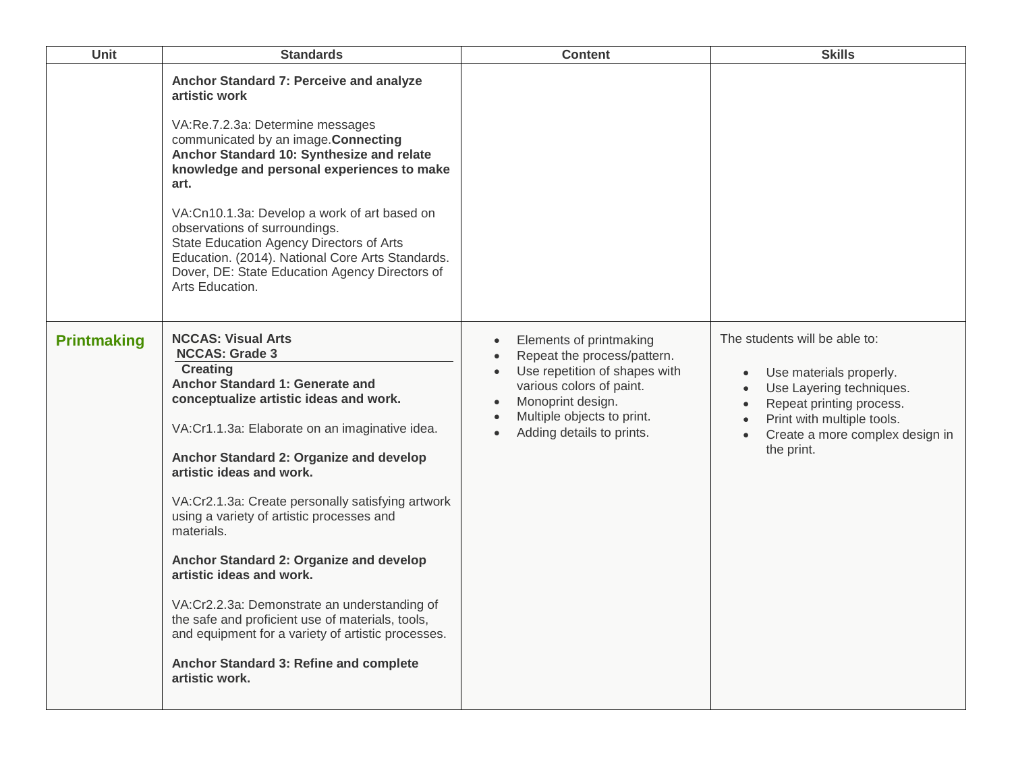| <b>Unit</b>        | <b>Standards</b>                                                                                                                                                                                                                                                                                                                                                                                                                                                                                                                                                                                                                                                                         | <b>Content</b>                                                                                                                                                                                                   | <b>Skills</b>                                                                                                                                                                                                                                                    |
|--------------------|------------------------------------------------------------------------------------------------------------------------------------------------------------------------------------------------------------------------------------------------------------------------------------------------------------------------------------------------------------------------------------------------------------------------------------------------------------------------------------------------------------------------------------------------------------------------------------------------------------------------------------------------------------------------------------------|------------------------------------------------------------------------------------------------------------------------------------------------------------------------------------------------------------------|------------------------------------------------------------------------------------------------------------------------------------------------------------------------------------------------------------------------------------------------------------------|
|                    | Anchor Standard 7: Perceive and analyze<br>artistic work<br>VA:Re.7.2.3a: Determine messages<br>communicated by an image. Connecting<br>Anchor Standard 10: Synthesize and relate<br>knowledge and personal experiences to make<br>art.<br>VA:Cn10.1.3a: Develop a work of art based on<br>observations of surroundings.<br>State Education Agency Directors of Arts<br>Education. (2014). National Core Arts Standards.<br>Dover, DE: State Education Agency Directors of<br>Arts Education.                                                                                                                                                                                            |                                                                                                                                                                                                                  |                                                                                                                                                                                                                                                                  |
| <b>Printmaking</b> | <b>NCCAS: Visual Arts</b><br><b>NCCAS: Grade 3</b><br><b>Creating</b><br>Anchor Standard 1: Generate and<br>conceptualize artistic ideas and work.<br>VA:Cr1.1.3a: Elaborate on an imaginative idea.<br>Anchor Standard 2: Organize and develop<br>artistic ideas and work.<br>VA:Cr2.1.3a: Create personally satisfying artwork<br>using a variety of artistic processes and<br>materials.<br>Anchor Standard 2: Organize and develop<br>artistic ideas and work.<br>VA:Cr2.2.3a: Demonstrate an understanding of<br>the safe and proficient use of materials, tools,<br>and equipment for a variety of artistic processes.<br>Anchor Standard 3: Refine and complete<br>artistic work. | Elements of printmaking<br>Repeat the process/pattern.<br>Use repetition of shapes with<br>various colors of paint.<br>Monoprint design.<br>Multiple objects to print.<br>$\bullet$<br>Adding details to prints. | The students will be able to:<br>Use materials properly.<br>$\bullet$<br>Use Layering techniques.<br>$\bullet$<br>Repeat printing process.<br>$\bullet$<br>Print with multiple tools.<br>$\bullet$<br>Create a more complex design in<br>$\bullet$<br>the print. |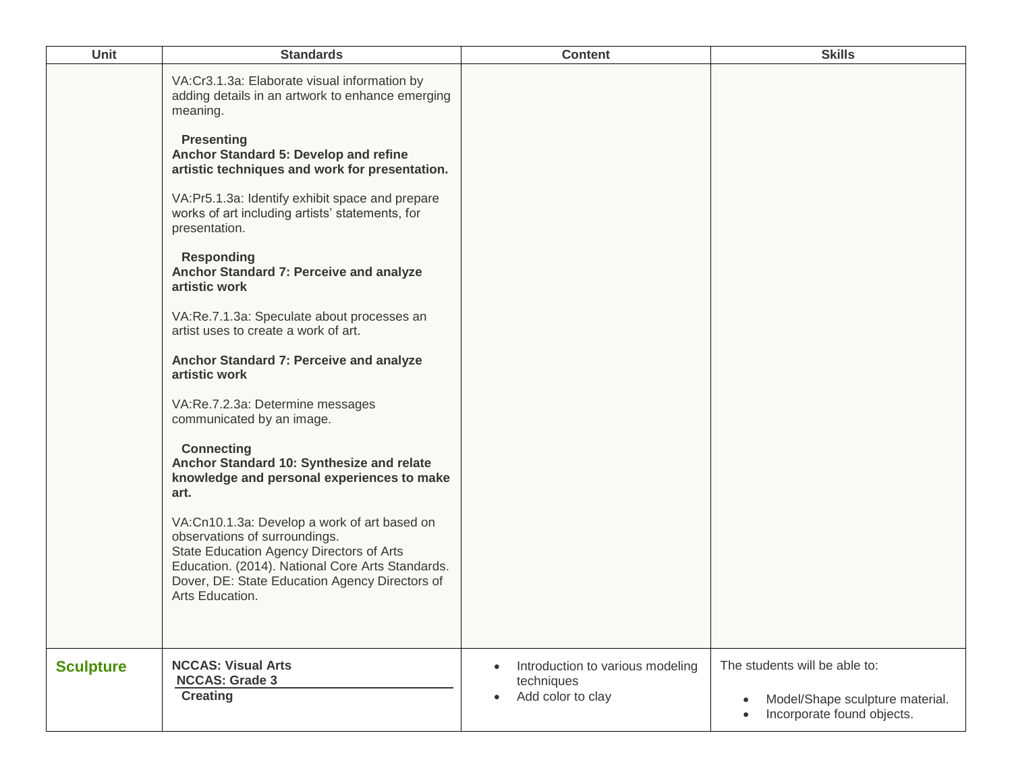| <b>Unit</b>      | <b>Standards</b>                                                                                                                                                                                                                                                                                                                                                                                                                                                                                                                                                                                                                                                                                                                                                                                                                                                                                                                                                                                                                      | <b>Content</b>                                                                                | <b>Skills</b>                                                                                  |
|------------------|---------------------------------------------------------------------------------------------------------------------------------------------------------------------------------------------------------------------------------------------------------------------------------------------------------------------------------------------------------------------------------------------------------------------------------------------------------------------------------------------------------------------------------------------------------------------------------------------------------------------------------------------------------------------------------------------------------------------------------------------------------------------------------------------------------------------------------------------------------------------------------------------------------------------------------------------------------------------------------------------------------------------------------------|-----------------------------------------------------------------------------------------------|------------------------------------------------------------------------------------------------|
|                  | VA:Cr3.1.3a: Elaborate visual information by<br>adding details in an artwork to enhance emerging<br>meaning.<br><b>Presenting</b><br>Anchor Standard 5: Develop and refine<br>artistic techniques and work for presentation.<br>VA:Pr5.1.3a: Identify exhibit space and prepare<br>works of art including artists' statements, for<br>presentation.<br><b>Responding</b><br>Anchor Standard 7: Perceive and analyze<br>artistic work<br>VA:Re.7.1.3a: Speculate about processes an<br>artist uses to create a work of art.<br>Anchor Standard 7: Perceive and analyze<br>artistic work<br>VA:Re.7.2.3a: Determine messages<br>communicated by an image.<br><b>Connecting</b><br>Anchor Standard 10: Synthesize and relate<br>knowledge and personal experiences to make<br>art.<br>VA:Cn10.1.3a: Develop a work of art based on<br>observations of surroundings.<br>State Education Agency Directors of Arts<br>Education. (2014). National Core Arts Standards.<br>Dover, DE: State Education Agency Directors of<br>Arts Education. |                                                                                               |                                                                                                |
| <b>Sculpture</b> | <b>NCCAS: Visual Arts</b><br><b>NCCAS: Grade 3</b><br><b>Creating</b>                                                                                                                                                                                                                                                                                                                                                                                                                                                                                                                                                                                                                                                                                                                                                                                                                                                                                                                                                                 | Introduction to various modeling<br>$\bullet$<br>techniques<br>Add color to clay<br>$\bullet$ | The students will be able to:<br>Model/Shape sculpture material.<br>Incorporate found objects. |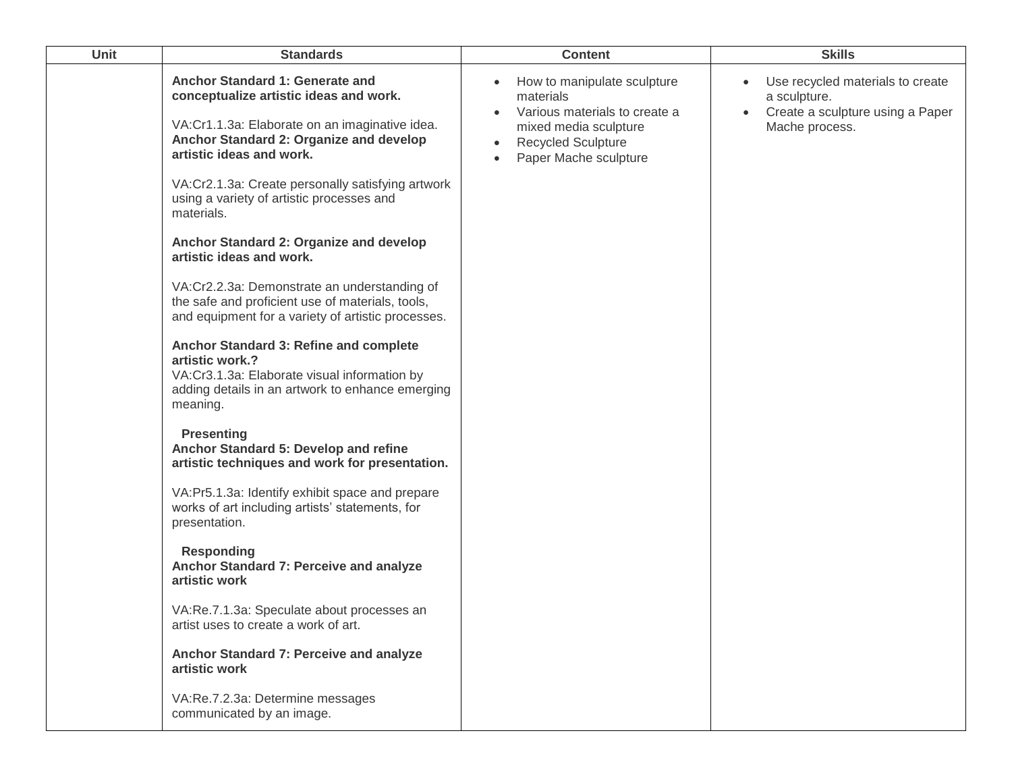| <b>Unit</b> | <b>Standards</b>                                                                                                                                                                                                                                                                                     | <b>Content</b>                                                                                                                                                                                  | <b>Skills</b>                                                                                                       |
|-------------|------------------------------------------------------------------------------------------------------------------------------------------------------------------------------------------------------------------------------------------------------------------------------------------------------|-------------------------------------------------------------------------------------------------------------------------------------------------------------------------------------------------|---------------------------------------------------------------------------------------------------------------------|
|             | Anchor Standard 1: Generate and<br>conceptualize artistic ideas and work.<br>VA:Cr1.1.3a: Elaborate on an imaginative idea.<br>Anchor Standard 2: Organize and develop<br>artistic ideas and work.<br>VA:Cr2.1.3a: Create personally satisfying artwork<br>using a variety of artistic processes and | How to manipulate sculpture<br>materials<br>Various materials to create a<br>$\bullet$<br>mixed media sculpture<br><b>Recycled Sculpture</b><br>$\bullet$<br>Paper Mache sculpture<br>$\bullet$ | Use recycled materials to create<br>a sculpture.<br>Create a sculpture using a Paper<br>$\bullet$<br>Mache process. |
|             | materials.<br>Anchor Standard 2: Organize and develop<br>artistic ideas and work.                                                                                                                                                                                                                    |                                                                                                                                                                                                 |                                                                                                                     |
|             | VA:Cr2.2.3a: Demonstrate an understanding of<br>the safe and proficient use of materials, tools,<br>and equipment for a variety of artistic processes.                                                                                                                                               |                                                                                                                                                                                                 |                                                                                                                     |
|             | Anchor Standard 3: Refine and complete<br>artistic work.?<br>VA:Cr3.1.3a: Elaborate visual information by<br>adding details in an artwork to enhance emerging<br>meaning.                                                                                                                            |                                                                                                                                                                                                 |                                                                                                                     |
|             | <b>Presenting</b><br>Anchor Standard 5: Develop and refine<br>artistic techniques and work for presentation.                                                                                                                                                                                         |                                                                                                                                                                                                 |                                                                                                                     |
|             | VA:Pr5.1.3a: Identify exhibit space and prepare<br>works of art including artists' statements, for<br>presentation.                                                                                                                                                                                  |                                                                                                                                                                                                 |                                                                                                                     |
|             | <b>Responding</b><br>Anchor Standard 7: Perceive and analyze<br>artistic work                                                                                                                                                                                                                        |                                                                                                                                                                                                 |                                                                                                                     |
|             | VA:Re.7.1.3a: Speculate about processes an<br>artist uses to create a work of art.                                                                                                                                                                                                                   |                                                                                                                                                                                                 |                                                                                                                     |
|             | Anchor Standard 7: Perceive and analyze<br>artistic work                                                                                                                                                                                                                                             |                                                                                                                                                                                                 |                                                                                                                     |
|             | VA:Re.7.2.3a: Determine messages<br>communicated by an image.                                                                                                                                                                                                                                        |                                                                                                                                                                                                 |                                                                                                                     |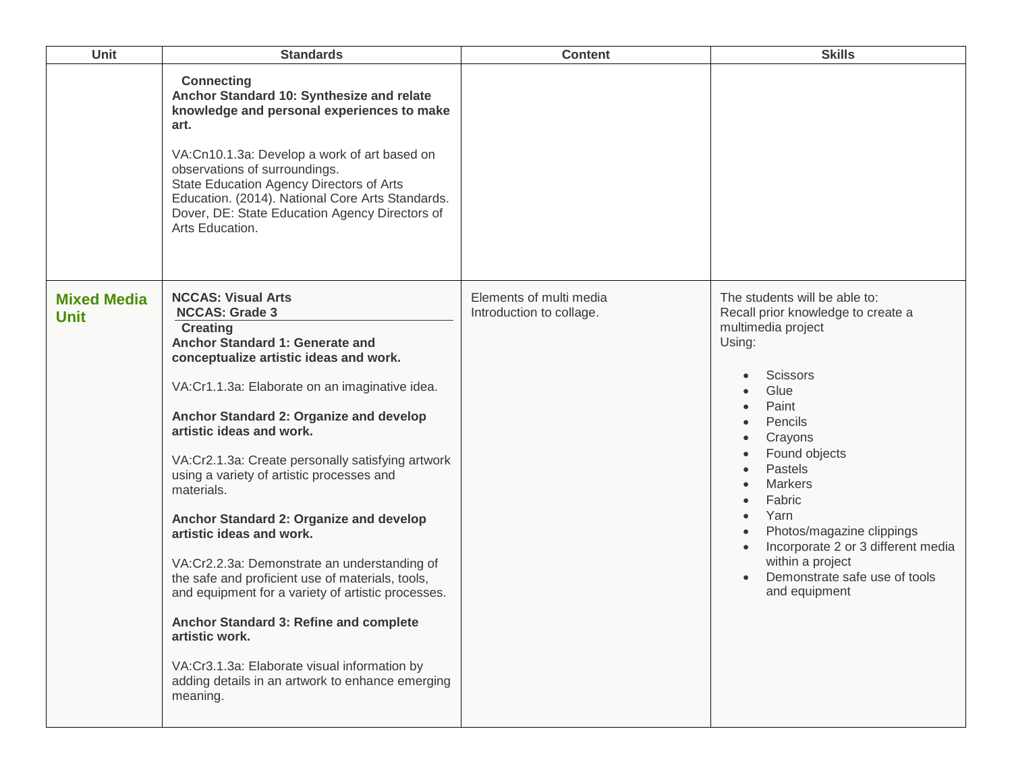| Unit                              | <b>Standards</b>                                                                                                                                                                                                                                                                                                                                                                                                                                                                                                                                                                                                                                                                                                                                                                                         | <b>Content</b>                                      | <b>Skills</b>                                                                                                                                                                                                                                                                                                                                                                                                 |
|-----------------------------------|----------------------------------------------------------------------------------------------------------------------------------------------------------------------------------------------------------------------------------------------------------------------------------------------------------------------------------------------------------------------------------------------------------------------------------------------------------------------------------------------------------------------------------------------------------------------------------------------------------------------------------------------------------------------------------------------------------------------------------------------------------------------------------------------------------|-----------------------------------------------------|---------------------------------------------------------------------------------------------------------------------------------------------------------------------------------------------------------------------------------------------------------------------------------------------------------------------------------------------------------------------------------------------------------------|
|                                   | <b>Connecting</b><br>Anchor Standard 10: Synthesize and relate<br>knowledge and personal experiences to make<br>art.<br>VA:Cn10.1.3a: Develop a work of art based on<br>observations of surroundings.<br>State Education Agency Directors of Arts<br>Education. (2014). National Core Arts Standards.<br>Dover, DE: State Education Agency Directors of<br>Arts Education.                                                                                                                                                                                                                                                                                                                                                                                                                               |                                                     |                                                                                                                                                                                                                                                                                                                                                                                                               |
| <b>Mixed Media</b><br><b>Unit</b> | <b>NCCAS: Visual Arts</b><br><b>NCCAS: Grade 3</b><br><b>Creating</b><br>Anchor Standard 1: Generate and<br>conceptualize artistic ideas and work.<br>VA:Cr1.1.3a: Elaborate on an imaginative idea.<br>Anchor Standard 2: Organize and develop<br>artistic ideas and work.<br>VA:Cr2.1.3a: Create personally satisfying artwork<br>using a variety of artistic processes and<br>materials.<br>Anchor Standard 2: Organize and develop<br>artistic ideas and work.<br>VA:Cr2.2.3a: Demonstrate an understanding of<br>the safe and proficient use of materials, tools,<br>and equipment for a variety of artistic processes.<br>Anchor Standard 3: Refine and complete<br>artistic work.<br>VA:Cr3.1.3a: Elaborate visual information by<br>adding details in an artwork to enhance emerging<br>meaning. | Elements of multi media<br>Introduction to collage. | The students will be able to:<br>Recall prior knowledge to create a<br>multimedia project<br>Using:<br><b>Scissors</b><br>Glue<br>Paint<br>Pencils<br>Crayons<br>Found objects<br>Pastels<br>$\bullet$<br><b>Markers</b><br>Fabric<br>$\bullet$<br>Yarn<br>$\bullet$<br>Photos/magazine clippings<br>Incorporate 2 or 3 different media<br>within a project<br>Demonstrate safe use of tools<br>and equipment |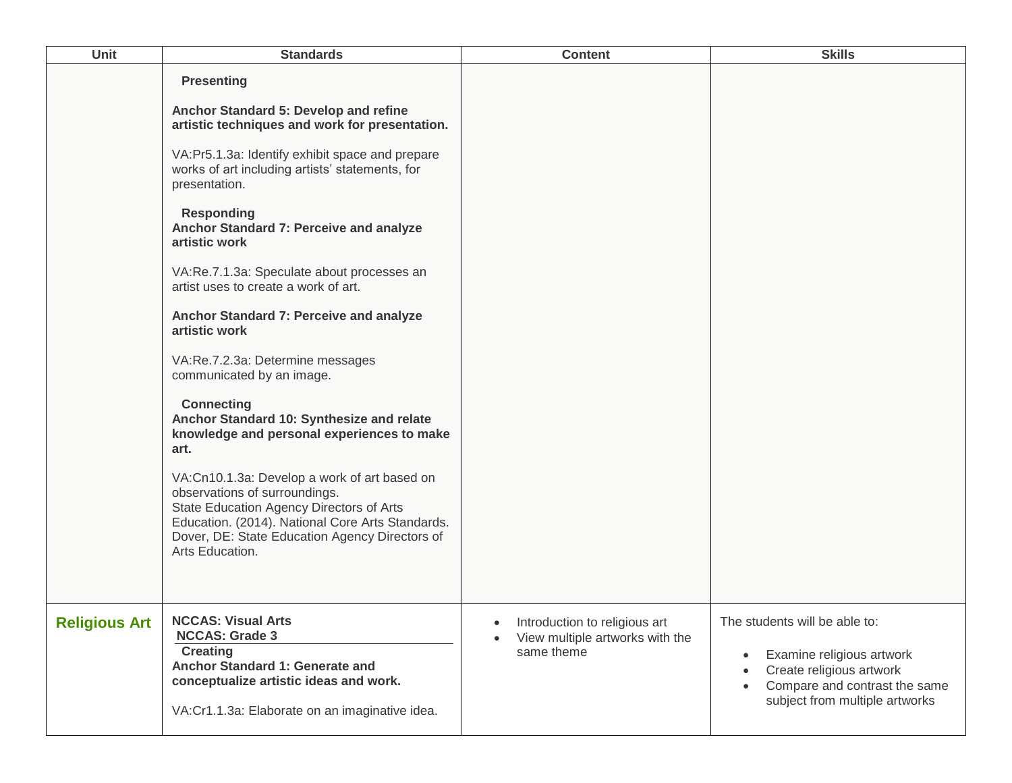| <b>Unit</b>          | <b>Standards</b>                                                                                                                                                                                                                                                                                                                                                                                                                                                                                                                                                                                                                                                                                                                                                                                                                                                                                                      | <b>Content</b>                                                                                           | <b>Skills</b>                                                                                                                                                          |
|----------------------|-----------------------------------------------------------------------------------------------------------------------------------------------------------------------------------------------------------------------------------------------------------------------------------------------------------------------------------------------------------------------------------------------------------------------------------------------------------------------------------------------------------------------------------------------------------------------------------------------------------------------------------------------------------------------------------------------------------------------------------------------------------------------------------------------------------------------------------------------------------------------------------------------------------------------|----------------------------------------------------------------------------------------------------------|------------------------------------------------------------------------------------------------------------------------------------------------------------------------|
|                      | <b>Presenting</b><br>Anchor Standard 5: Develop and refine<br>artistic techniques and work for presentation.<br>VA:Pr5.1.3a: Identify exhibit space and prepare<br>works of art including artists' statements, for<br>presentation.<br><b>Responding</b><br>Anchor Standard 7: Perceive and analyze<br>artistic work<br>VA:Re.7.1.3a: Speculate about processes an<br>artist uses to create a work of art.<br>Anchor Standard 7: Perceive and analyze<br>artistic work<br>VA:Re.7.2.3a: Determine messages<br>communicated by an image.<br><b>Connecting</b><br>Anchor Standard 10: Synthesize and relate<br>knowledge and personal experiences to make<br>art.<br>VA:Cn10.1.3a: Develop a work of art based on<br>observations of surroundings.<br>State Education Agency Directors of Arts<br>Education. (2014). National Core Arts Standards.<br>Dover, DE: State Education Agency Directors of<br>Arts Education. |                                                                                                          |                                                                                                                                                                        |
| <b>Religious Art</b> | <b>NCCAS: Visual Arts</b><br><b>NCCAS: Grade 3</b><br><b>Creating</b><br>Anchor Standard 1: Generate and<br>conceptualize artistic ideas and work.<br>VA:Cr1.1.3a: Elaborate on an imaginative idea.                                                                                                                                                                                                                                                                                                                                                                                                                                                                                                                                                                                                                                                                                                                  | Introduction to religious art<br>$\bullet$<br>View multiple artworks with the<br>$\bullet$<br>same theme | The students will be able to:<br>Examine religious artwork<br>$\bullet$<br>Create religious artwork<br>Compare and contrast the same<br>subject from multiple artworks |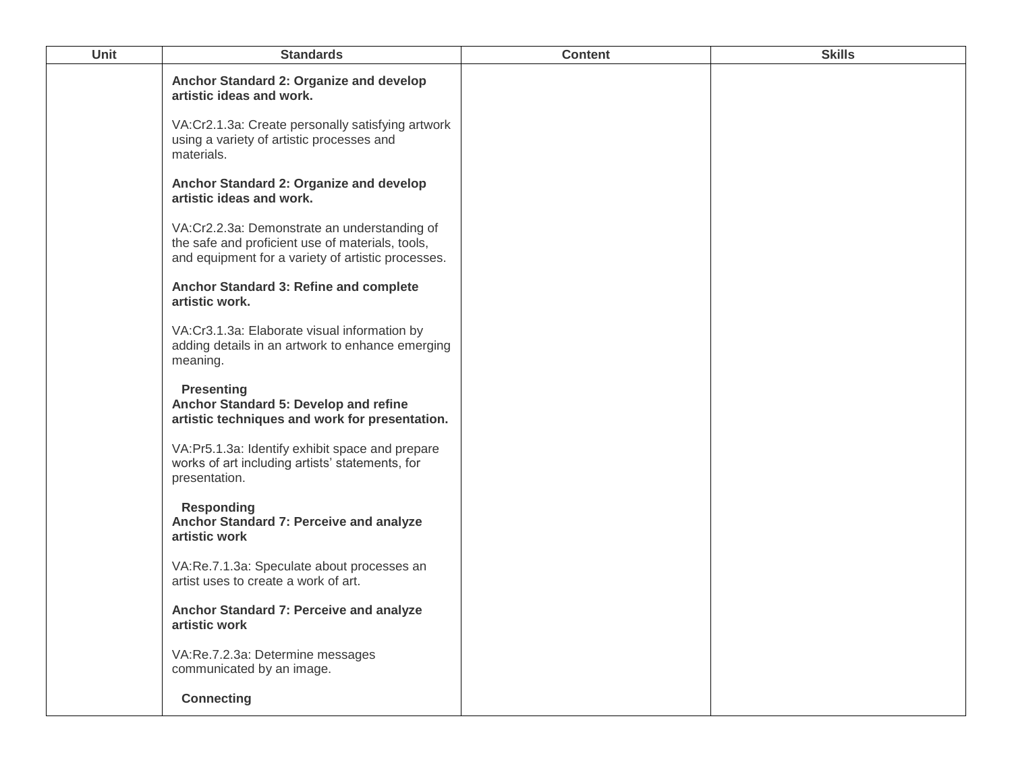| Unit | <b>Standards</b>                                                                                                                                       | <b>Content</b> | <b>Skills</b> |
|------|--------------------------------------------------------------------------------------------------------------------------------------------------------|----------------|---------------|
|      | Anchor Standard 2: Organize and develop<br>artistic ideas and work.                                                                                    |                |               |
|      | VA:Cr2.1.3a: Create personally satisfying artwork<br>using a variety of artistic processes and<br>materials.                                           |                |               |
|      | Anchor Standard 2: Organize and develop<br>artistic ideas and work.                                                                                    |                |               |
|      | VA:Cr2.2.3a: Demonstrate an understanding of<br>the safe and proficient use of materials, tools,<br>and equipment for a variety of artistic processes. |                |               |
|      | Anchor Standard 3: Refine and complete<br>artistic work.                                                                                               |                |               |
|      | VA:Cr3.1.3a: Elaborate visual information by<br>adding details in an artwork to enhance emerging<br>meaning.                                           |                |               |
|      | <b>Presenting</b><br>Anchor Standard 5: Develop and refine<br>artistic techniques and work for presentation.                                           |                |               |
|      | VA:Pr5.1.3a: Identify exhibit space and prepare<br>works of art including artists' statements, for<br>presentation.                                    |                |               |
|      | <b>Responding</b><br>Anchor Standard 7: Perceive and analyze<br>artistic work                                                                          |                |               |
|      | VA:Re.7.1.3a: Speculate about processes an<br>artist uses to create a work of art.                                                                     |                |               |
|      | Anchor Standard 7: Perceive and analyze<br>artistic work                                                                                               |                |               |
|      | VA:Re.7.2.3a: Determine messages<br>communicated by an image.                                                                                          |                |               |
|      | <b>Connecting</b>                                                                                                                                      |                |               |